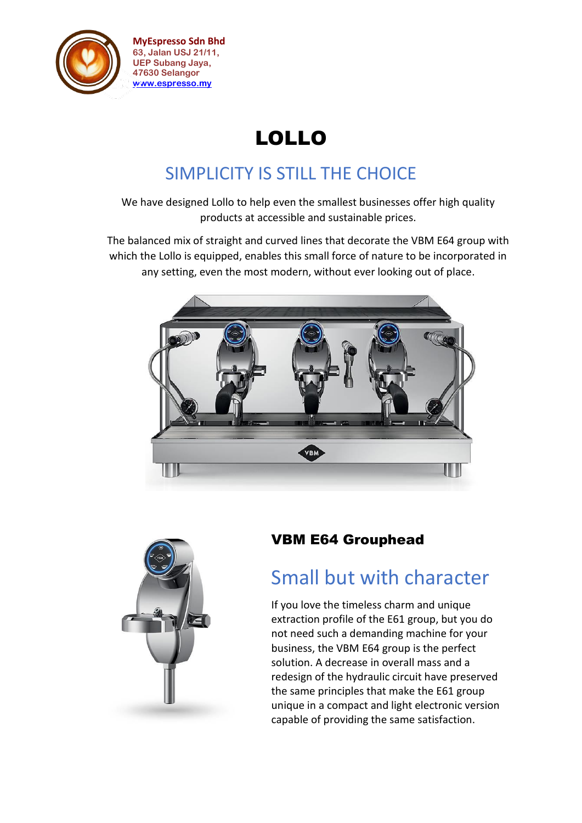

**MyEspresso Sdn Bhd 63, Jalan USJ 21/11, UEP Subang Jaya, 47630 Selangor [www.espresso.my](http://www.espresso.my/)**

# LOLLO

## SIMPLICITY IS STILL THE CHOICE

We have designed Lollo to help even the smallest businesses offer high quality products at accessible and sustainable prices.

The balanced mix of straight and curved lines that decorate the VBM E64 group with which the Lollo is equipped, enables this small force of nature to be incorporated in any setting, even the most modern, without ever looking out of place.





### VBM E64 Grouphead

## Small but with character

If you love the timeless charm and unique extraction profile of the E61 group, but you do not need such a demanding machine for your business, the VBM E64 group is the perfect solution. A decrease in overall mass and a redesign of the hydraulic circuit have preserved the same principles that make the E61 group unique in a compact and light electronic version capable of providing the same satisfaction.